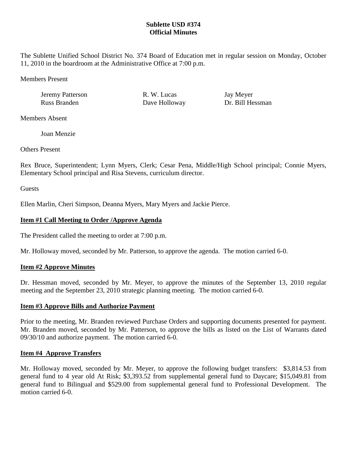# **Sublette USD #374 Official Minutes**

The Sublette Unified School District No. 374 Board of Education met in regular session on Monday, October 11, 2010 in the boardroom at the Administrative Office at 7:00 p.m.

Members Present

Jeremy Patterson R. W. Lucas Jay Meyer Russ Branden Dave Holloway Dr. Bill Hessman

Members Absent

Joan Menzie

Others Present

Rex Bruce, Superintendent; Lynn Myers, Clerk; Cesar Pena, Middle/High School principal; Connie Myers, Elementary School principal and Risa Stevens, curriculum director.

**Guests** 

Ellen Marlin, Cheri Simpson, Deanna Myers, Mary Myers and Jackie Pierce.

### **Item #1 Call Meeting to Order /Approve Agenda**

The President called the meeting to order at 7:00 p.m.

Mr. Holloway moved, seconded by Mr. Patterson, to approve the agenda. The motion carried 6-0.

# **Item #2 Approve Minutes**

Dr. Hessman moved, seconded by Mr. Meyer, to approve the minutes of the September 13, 2010 regular meeting and the September 23, 2010 strategic planning meeting. The motion carried 6-0.

# **Item #3 Approve Bills and Authorize Payment**

Prior to the meeting, Mr. Branden reviewed Purchase Orders and supporting documents presented for payment. Mr. Branden moved, seconded by Mr. Patterson, to approve the bills as listed on the List of Warrants dated 09/30/10 and authorize payment. The motion carried 6-0.

# **Item #4 Approve Transfers**

Mr. Holloway moved, seconded by Mr. Meyer, to approve the following budget transfers: \$3,814.53 from general fund to 4 year old At Risk; \$3,393.52 from supplemental general fund to Daycare; \$15,049.81 from general fund to Bilingual and \$529.00 from supplemental general fund to Professional Development. The motion carried 6-0.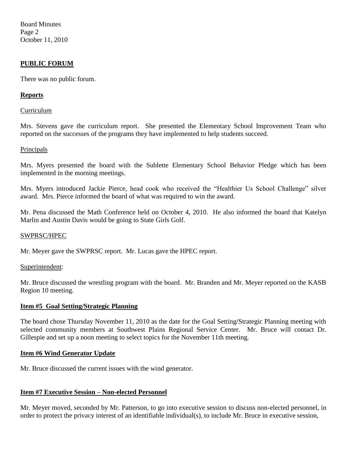Board Minutes Page 2 October 11, 2010

### **PUBLIC FORUM**

There was no public forum.

### **Reports**

#### Curriculum

Mrs. Stevens gave the curriculum report. She presented the Elementary School Improvement Team who reported on the successes of the programs they have implemented to help students succeed.

### Principals

Mrs. Myers presented the board with the Sublette Elementary School Behavior Pledge which has been implemented in the morning meetings.

Mrs. Myers introduced Jackie Pierce, head cook who received the "Healthier Us School Challenge" silver award. Mrs. Pierce informed the board of what was required to win the award.

Mr. Pena discussed the Math Conference held on October 4, 2010. He also informed the board that Katelyn Marlin and Austin Davis would be going to State Girls Golf.

#### SWPRSC/HPEC

Mr. Meyer gave the SWPRSC report. Mr. Lucas gave the HPEC report.

#### Superintendent:

Mr. Bruce discussed the wrestling program with the board. Mr. Branden and Mr. Meyer reported on the KASB Region 10 meeting.

### **Item #5 Goal Setting/Strategic Planning**

The board chose Thursday November 11, 2010 as the date for the Goal Setting/Strategic Planning meeting with selected community members at Southwest Plains Regional Service Center. Mr. Bruce will contact Dr. Gillespie and set up a noon meeting to select topics for the November 11th meeting.

### **Item #6 Wind Generator Update**

Mr. Bruce discussed the current issues with the wind generator.

### **Item #7 Executive Session – Non-elected Personnel**

Mr. Meyer moved, seconded by Mr. Patterson, to go into executive session to discuss non-elected personnel, in order to protect the privacy interest of an identifiable individual(s), to include Mr. Bruce in executive session,